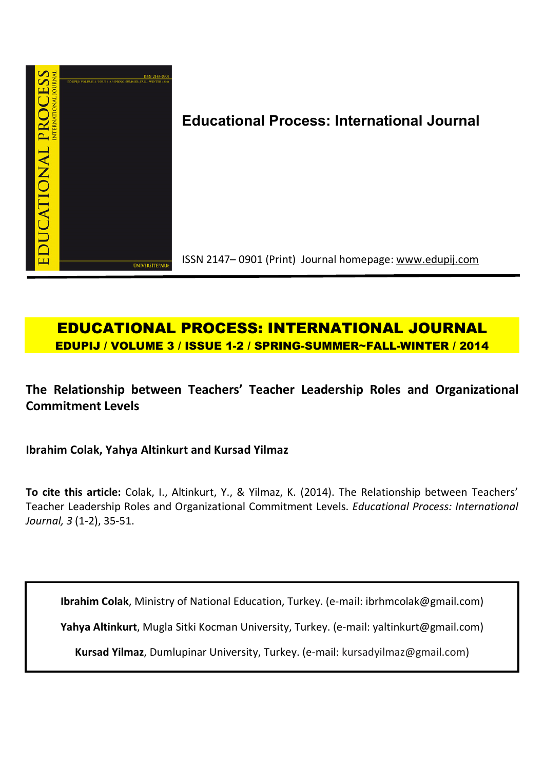

# **Educational Process: International Journal**

ISSN 2147– 0901 (Print) Journal homepage: www.edupij.com

## **EDUCATIONAL PROCESS: INTERNATIONAL JOURNAL EDUPIJ / VOLUME 3 / ISSUE 1-2 / SPRING-SUMMER~FALL-WINTER / 2014**

**The Relationship between Teachers' Teacher Leadership Roles and Organizational Commitment Levels** 

**Ibrahim Colak, Yahya Altinkurt and Kursad Yilmaz**

**To cite this article:** Colak, I., Altinkurt, Y., & Yilmaz, K. (2014). The Relationship between Teachers' Teacher Leadership Roles and Organizational Commitment Levels. *Educational Process: International Journal, 3* (1-2), 35-51.

**Ibrahim Colak**, Ministry of National Education, Turkey. (e-mail: ibrhmcolak@gmail.com)

**Yahya Altinkurt**, Mugla Sitki Kocman University, Turkey. (e-mail: yaltinkurt@gmail.com)

**Kursad Yilmaz**, Dumlupinar University, Turkey. (e-mail: kursadyilmaz@gmail.com)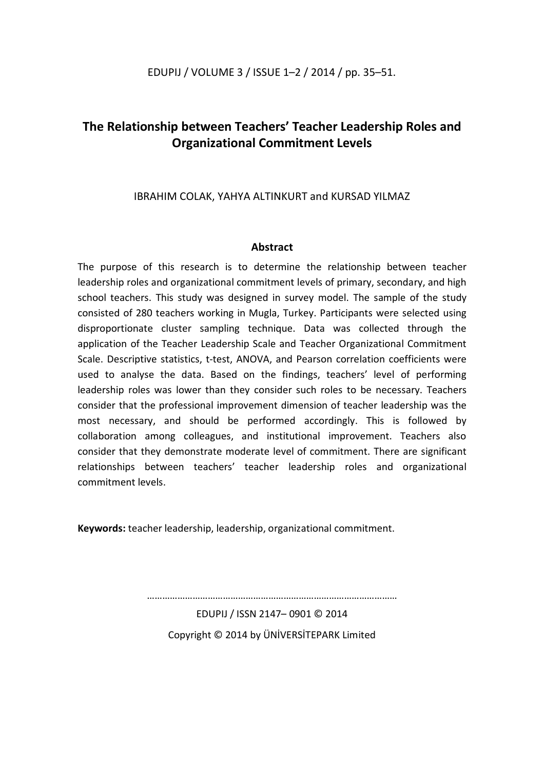## **The Relationship between Teachers' Teacher Leadership Roles and Organizational Commitment Levels**

### IBRAHIM COLAK, YAHYA ALTINKURT and KURSAD YILMAZ

### **Abstract**

The purpose of this research is to determine the relationship between teacher leadership roles and organizational commitment levels of primary, secondary, and high school teachers. This study was designed in survey model. The sample of the study consisted of 280 teachers working in Mugla, Turkey. Participants were selected using disproportionate cluster sampling technique. Data was collected through the application of the Teacher Leadership Scale and Teacher Organizational Commitment Scale. Descriptive statistics, t-test, ANOVA, and Pearson correlation coefficients were used to analyse the data. Based on the findings, teachers' level of performing leadership roles was lower than they consider such roles to be necessary. Teachers consider that the professional improvement dimension of teacher leadership was the most necessary, and should be performed accordingly. This is followed by collaboration among colleagues, and institutional improvement. Teachers also consider that they demonstrate moderate level of commitment. There are significant relationships between teachers' teacher leadership roles and organizational commitment levels.

**Keywords:** teacher leadership, leadership, organizational commitment.

………………………………………………………………………………………

EDUPIJ / ISSN 2147– 0901 © 2014 Copyright © 2014 by ÜNİVERSİTEPARK Limited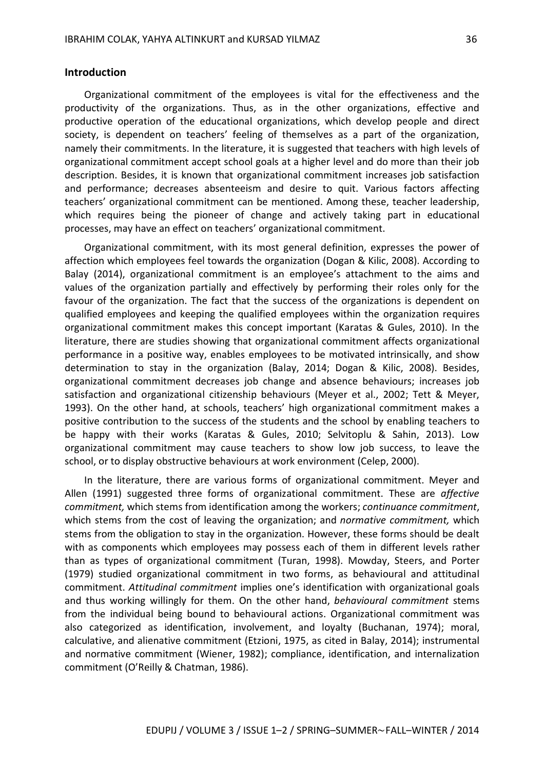#### **Introduction**

Organizational commitment of the employees is vital for the effectiveness and the productivity of the organizations. Thus, as in the other organizations, effective and productive operation of the educational organizations, which develop people and direct society, is dependent on teachers' feeling of themselves as a part of the organization, namely their commitments. In the literature, it is suggested that teachers with high levels of organizational commitment accept school goals at a higher level and do more than their job description. Besides, it is known that organizational commitment increases job satisfaction and performance; decreases absenteeism and desire to quit. Various factors affecting teachers' organizational commitment can be mentioned. Among these, teacher leadership, which requires being the pioneer of change and actively taking part in educational processes, may have an effect on teachers' organizational commitment.

Organizational commitment, with its most general definition, expresses the power of affection which employees feel towards the organization (Dogan & Kilic, 2008). According to Balay (2014), organizational commitment is an employee's attachment to the aims and values of the organization partially and effectively by performing their roles only for the favour of the organization. The fact that the success of the organizations is dependent on qualified employees and keeping the qualified employees within the organization requires organizational commitment makes this concept important (Karatas & Gules, 2010). In the literature, there are studies showing that organizational commitment affects organizational performance in a positive way, enables employees to be motivated intrinsically, and show determination to stay in the organization (Balay, 2014; Dogan & Kilic, 2008). Besides, organizational commitment decreases job change and absence behaviours; increases job satisfaction and organizational citizenship behaviours (Meyer et al., 2002; Tett & Meyer, 1993). On the other hand, at schools, teachers' high organizational commitment makes a positive contribution to the success of the students and the school by enabling teachers to be happy with their works (Karatas & Gules, 2010; Selvitoplu & Sahin, 2013). Low organizational commitment may cause teachers to show low job success, to leave the school, or to display obstructive behaviours at work environment (Celep, 2000).

In the literature, there are various forms of organizational commitment. Meyer and Allen (1991) suggested three forms of organizational commitment. These are *affective commitment,* which stems from identification among the workers; *continuance commitment*, which stems from the cost of leaving the organization; and *normative commitment,* which stems from the obligation to stay in the organization. However, these forms should be dealt with as components which employees may possess each of them in different levels rather than as types of organizational commitment (Turan, 1998). Mowday, Steers, and Porter (1979) studied organizational commitment in two forms, as behavioural and attitudinal commitment. *Attitudinal commitment* implies one's identification with organizational goals and thus working willingly for them. On the other hand, *behavioural commitment* stems from the individual being bound to behavioural actions. Organizational commitment was also categorized as identification, involvement, and loyalty (Buchanan, 1974); moral, calculative, and alienative commitment (Etzioni, 1975, as cited in Balay, 2014); instrumental and normative commitment (Wiener, 1982); compliance, identification, and internalization commitment (O'Reilly & Chatman, 1986).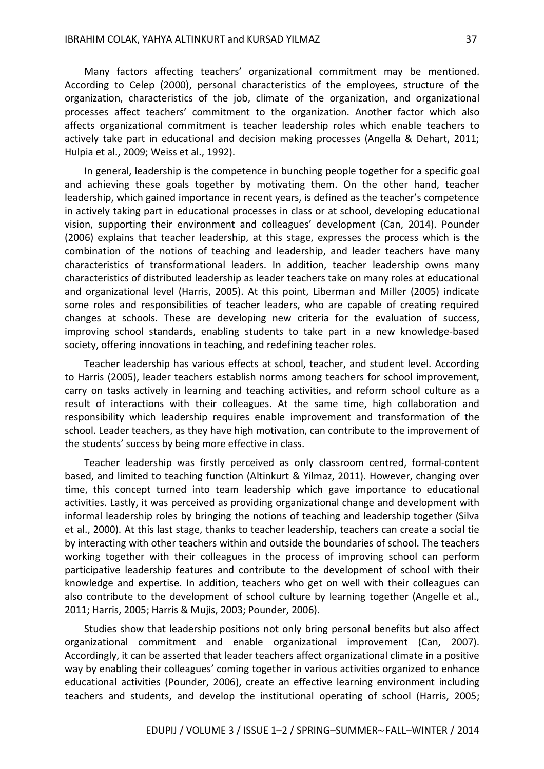Many factors affecting teachers' organizational commitment may be mentioned. According to Celep (2000), personal characteristics of the employees, structure of the organization, characteristics of the job, climate of the organization, and organizational processes affect teachers' commitment to the organization. Another factor which also affects organizational commitment is teacher leadership roles which enable teachers to actively take part in educational and decision making processes (Angella & Dehart, 2011; Hulpia et al., 2009; Weiss et al., 1992).

In general, leadership is the competence in bunching people together for a specific goal and achieving these goals together by motivating them. On the other hand, teacher leadership, which gained importance in recent years, is defined as the teacher's competence in actively taking part in educational processes in class or at school, developing educational vision, supporting their environment and colleagues' development (Can, 2014). Pounder (2006) explains that teacher leadership, at this stage, expresses the process which is the combination of the notions of teaching and leadership, and leader teachers have many characteristics of transformational leaders. In addition, teacher leadership owns many characteristics of distributed leadership as leader teachers take on many roles at educational and organizational level (Harris, 2005). At this point, Liberman and Miller (2005) indicate some roles and responsibilities of teacher leaders, who are capable of creating required changes at schools. These are developing new criteria for the evaluation of success, improving school standards, enabling students to take part in a new knowledge-based society, offering innovations in teaching, and redefining teacher roles.

Teacher leadership has various effects at school, teacher, and student level. According to Harris (2005), leader teachers establish norms among teachers for school improvement, carry on tasks actively in learning and teaching activities, and reform school culture as a result of interactions with their colleagues. At the same time, high collaboration and responsibility which leadership requires enable improvement and transformation of the school. Leader teachers, as they have high motivation, can contribute to the improvement of the students' success by being more effective in class.

Teacher leadership was firstly perceived as only classroom centred, formal-content based, and limited to teaching function (Altinkurt & Yilmaz, 2011). However, changing over time, this concept turned into team leadership which gave importance to educational activities. Lastly, it was perceived as providing organizational change and development with informal leadership roles by bringing the notions of teaching and leadership together (Silva et al., 2000). At this last stage, thanks to teacher leadership, teachers can create a social tie by interacting with other teachers within and outside the boundaries of school. The teachers working together with their colleagues in the process of improving school can perform participative leadership features and contribute to the development of school with their knowledge and expertise. In addition, teachers who get on well with their colleagues can also contribute to the development of school culture by learning together (Angelle et al., 2011; Harris, 2005; Harris & Mujis, 2003; Pounder, 2006).

Studies show that leadership positions not only bring personal benefits but also affect organizational commitment and enable organizational improvement (Can, 2007). Accordingly, it can be asserted that leader teachers affect organizational climate in a positive way by enabling their colleagues' coming together in various activities organized to enhance educational activities (Pounder, 2006), create an effective learning environment including teachers and students, and develop the institutional operating of school (Harris, 2005;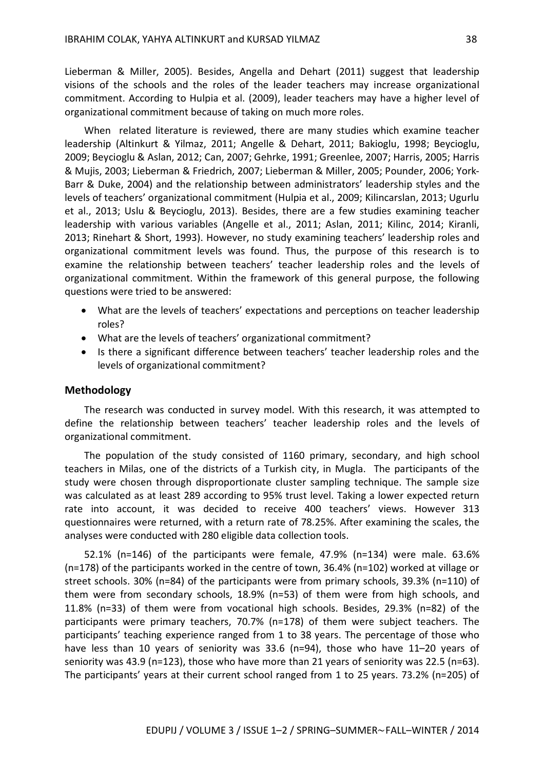Lieberman & Miller, 2005). Besides, Angella and Dehart (2011) suggest that leadership visions of the schools and the roles of the leader teachers may increase organizational commitment. According to Hulpia et al. (2009), leader teachers may have a higher level of organizational commitment because of taking on much more roles.

When related literature is reviewed, there are many studies which examine teacher leadership (Altinkurt & Yilmaz, 2011; Angelle & Dehart, 2011; Bakioglu, 1998; Beycioglu, 2009; Beycioglu & Aslan, 2012; Can, 2007; Gehrke, 1991; Greenlee, 2007; Harris, 2005; Harris & Mujis, 2003; Lieberman & Friedrich, 2007; Lieberman & Miller, 2005; Pounder, 2006; York-Barr & Duke, 2004) and the relationship between administrators' leadership styles and the levels of teachers' organizational commitment (Hulpia et al., 2009; Kilincarslan, 2013; Ugurlu et al., 2013; Uslu & Beycioglu, 2013). Besides, there are a few studies examining teacher leadership with various variables (Angelle et al., 2011; Aslan, 2011; Kilinc, 2014; Kiranli, 2013; Rinehart & Short, 1993). However, no study examining teachers' leadership roles and organizational commitment levels was found. Thus, the purpose of this research is to examine the relationship between teachers' teacher leadership roles and the levels of organizational commitment. Within the framework of this general purpose, the following questions were tried to be answered:

- What are the levels of teachers' expectations and perceptions on teacher leadership roles?
- What are the levels of teachers' organizational commitment?
- Is there a significant difference between teachers' teacher leadership roles and the levels of organizational commitment?

#### **Methodology**

The research was conducted in survey model. With this research, it was attempted to define the relationship between teachers' teacher leadership roles and the levels of organizational commitment.

The population of the study consisted of 1160 primary, secondary, and high school teachers in Milas, one of the districts of a Turkish city, in Mugla. The participants of the study were chosen through disproportionate cluster sampling technique. The sample size was calculated as at least 289 according to 95% trust level. Taking a lower expected return rate into account, it was decided to receive 400 teachers' views. However 313 questionnaires were returned, with a return rate of 78.25%. After examining the scales, the analyses were conducted with 280 eligible data collection tools.

52.1% (n=146) of the participants were female, 47.9% (n=134) were male. 63.6% (n=178) of the participants worked in the centre of town, 36.4% (n=102) worked at village or street schools. 30% (n=84) of the participants were from primary schools, 39.3% (n=110) of them were from secondary schools, 18.9% (n=53) of them were from high schools, and 11.8% (n=33) of them were from vocational high schools. Besides, 29.3% (n=82) of the participants were primary teachers, 70.7% (n=178) of them were subject teachers. The participants' teaching experience ranged from 1 to 38 years. The percentage of those who have less than 10 years of seniority was 33.6 (n=94), those who have 11–20 years of seniority was 43.9 (n=123), those who have more than 21 years of seniority was 22.5 (n=63). The participants' years at their current school ranged from 1 to 25 years. 73.2% (n=205) of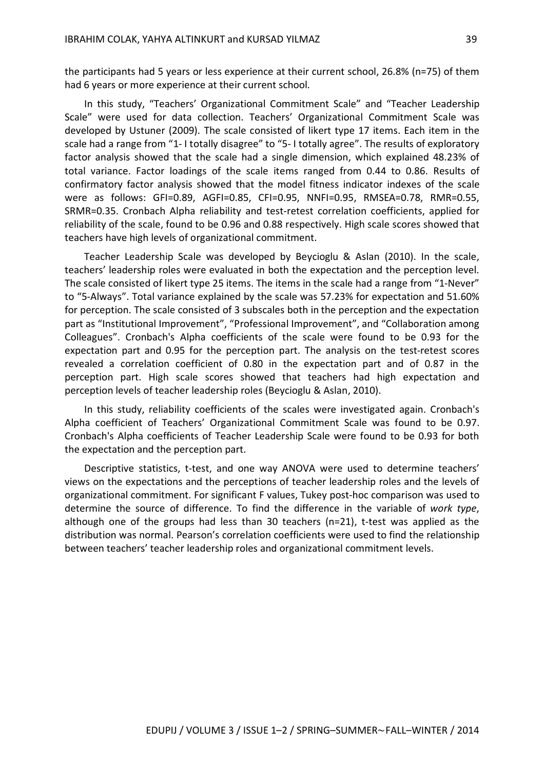the participants had 5 years or less experience at their current school, 26.8% (n=75) of them had 6 years or more experience at their current school.

In this study, "Teachers' Organizational Commitment Scale" and "Teacher Leadership Scale" were used for data collection. Teachers' Organizational Commitment Scale was developed by Ustuner (2009). The scale consisted of likert type 17 items. Each item in the scale had a range from "1- I totally disagree" to "5- I totally agree". The results of exploratory factor analysis showed that the scale had a single dimension, which explained 48.23% of total variance. Factor loadings of the scale items ranged from 0.44 to 0.86. Results of confirmatory factor analysis showed that the model fitness indicator indexes of the scale were as follows: GFI=0.89, AGFI=0.85, CFI=0.95, NNFI=0.95, RMSEA=0.78, RMR=0.55, SRMR=0.35. Cronbach Alpha reliability and test-retest correlation coefficients, applied for reliability of the scale, found to be 0.96 and 0.88 respectively. High scale scores showed that teachers have high levels of organizational commitment.

Teacher Leadership Scale was developed by Beycioglu & Aslan (2010). In the scale, teachers' leadership roles were evaluated in both the expectation and the perception level. The scale consisted of likert type 25 items. The items in the scale had a range from "1-Never" to "5-Always". Total variance explained by the scale was 57.23% for expectation and 51.60% for perception. The scale consisted of 3 subscales both in the perception and the expectation part as "Institutional Improvement", "Professional Improvement", and "Collaboration among Colleagues". Cronbach's Alpha coefficients of the scale were found to be 0.93 for the expectation part and 0.95 for the perception part. The analysis on the test-retest scores revealed a correlation coefficient of 0.80 in the expectation part and of 0.87 in the perception part. High scale scores showed that teachers had high expectation and perception levels of teacher leadership roles (Beycioglu & Aslan, 2010).

In this study, reliability coefficients of the scales were investigated again. Cronbach's Alpha coefficient of Teachers' Organizational Commitment Scale was found to be 0.97. Cronbach's Alpha coefficients of Teacher Leadership Scale were found to be 0.93 for both the expectation and the perception part.

Descriptive statistics, t-test, and one way ANOVA were used to determine teachers' views on the expectations and the perceptions of teacher leadership roles and the levels of organizational commitment. For significant F values, Tukey post-hoc comparison was used to determine the source of difference. To find the difference in the variable of *work type*, although one of the groups had less than 30 teachers (n=21), t-test was applied as the distribution was normal. Pearson's correlation coefficients were used to find the relationship between teachers' teacher leadership roles and organizational commitment levels.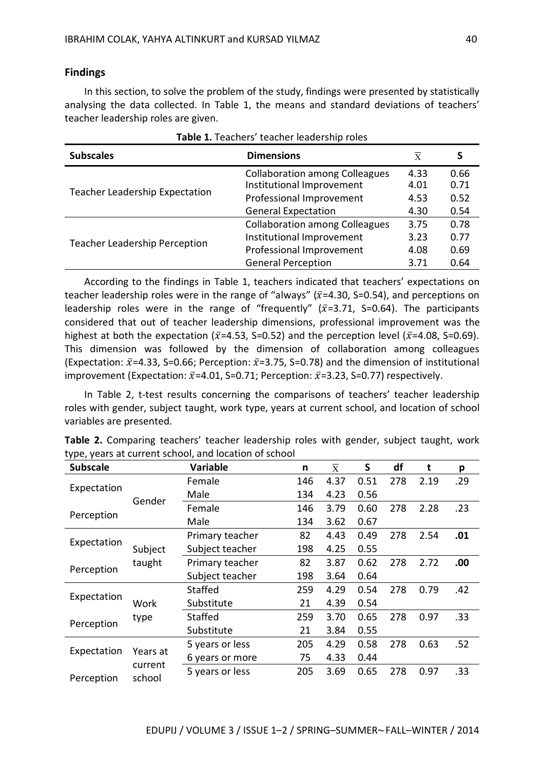#### **Findings**

In this section, to solve the problem of the study, findings were presented by statistically analysing the data collected. In Table 1, the means and standard deviations of teachers' teacher leadership roles are given.

| Table 1. Teachers' teacher leadership roles |                                                                    |              |              |  |  |  |  |  |
|---------------------------------------------|--------------------------------------------------------------------|--------------|--------------|--|--|--|--|--|
| <b>Subscales</b>                            | X                                                                  | S            |              |  |  |  |  |  |
|                                             | <b>Collaboration among Colleagues</b><br>Institutional Improvement | 4.33<br>4.01 | 0.66<br>0.71 |  |  |  |  |  |
| Teacher Leadership Expectation              | Professional Improvement                                           | 4.53         | 0.52         |  |  |  |  |  |
|                                             | <b>General Expectation</b>                                         | 4.30         | 0.54         |  |  |  |  |  |
|                                             | <b>Collaboration among Colleagues</b>                              | 3.75         | 0.78         |  |  |  |  |  |
| <b>Teacher Leadership Perception</b>        | Institutional Improvement                                          | 3.23         | 0.77         |  |  |  |  |  |
|                                             | Professional Improvement                                           | 4.08         | 0.69         |  |  |  |  |  |
|                                             | <b>General Perception</b>                                          | 3.71         | 0.64         |  |  |  |  |  |

According to the findings in Table 1, teachers indicated that teachers' expectations on teacher leadership roles were in the range of "always" ( $\bar{x}$ =4.30, S=0.54), and perceptions on leadership roles were in the range of "frequently" ( $\bar{x}$ =3.71, S=0.64). The participants considered that out of teacher leadership dimensions, professional improvement was the highest at both the expectation ( $\bar{x}$ =4.53, S=0.52) and the perception level ( $\bar{x}$ =4.08, S=0.69). This dimension was followed by the dimension of collaboration among colleagues (Expectation:  $\bar{x}$ =4.33, S=0.66; Perception:  $\bar{x}$ =3.75, S=0.78) and the dimension of institutional improvement (Expectation:  $\bar{x}$ =4.01, S=0.71; Perception:  $\bar{x}$ =3.23, S=0.77) respectively.

In Table 2, t-test results concerning the comparisons of teachers' teacher leadership roles with gender, subject taught, work type, years at current school, and location of school variables are presented.

| <b>Subscale</b> | <b>Variable</b>   |                 | n   | $\overline{\mathrm{x}}$ | S    | df  | t    | p   |
|-----------------|-------------------|-----------------|-----|-------------------------|------|-----|------|-----|
|                 |                   | Female          | 146 | 4.37                    | 0.51 | 278 | 2.19 | .29 |
| Expectation     |                   | Male            | 134 | 4.23                    | 0.56 |     |      |     |
|                 | Gender            | Female          | 146 | 3.79                    | 0.60 | 278 | 2.28 | .23 |
| Perception      |                   | Male            | 134 | 3.62                    | 0.67 |     |      |     |
|                 |                   | Primary teacher | 82  | 4.43                    | 0.49 | 278 | 2.54 | .01 |
| Expectation     | Subject           | Subject teacher | 198 | 4.25                    | 0.55 |     |      |     |
|                 | taught            | Primary teacher | 82  | 3.87                    | 0.62 | 278 | 2.72 | .00 |
| Perception      |                   | Subject teacher | 198 | 3.64                    | 0.64 |     |      |     |
|                 |                   | <b>Staffed</b>  | 259 | 4.29                    | 0.54 | 278 | 0.79 | .42 |
| Expectation     | Work              | Substitute      | 21  | 4.39                    | 0.54 |     |      |     |
|                 | type              | <b>Staffed</b>  | 259 | 3.70                    | 0.65 | 278 | 0.97 | .33 |
| Perception      |                   | Substitute      | 21  | 3.84                    | 0.55 |     |      |     |
|                 |                   | 5 years or less | 205 | 4.29                    | 0.58 | 278 | 0.63 | .52 |
| Expectation     | Years at          | 6 years or more | 75  | 4.33                    | 0.44 |     |      |     |
| Perception      | current<br>school | 5 years or less | 205 | 3.69                    | 0.65 | 278 | 0.97 | .33 |

| Table 2. Comparing teachers' teacher leadership roles with gender, subject taught, work |  |  |  |  |  |
|-----------------------------------------------------------------------------------------|--|--|--|--|--|
| type, years at current school, and location of school                                   |  |  |  |  |  |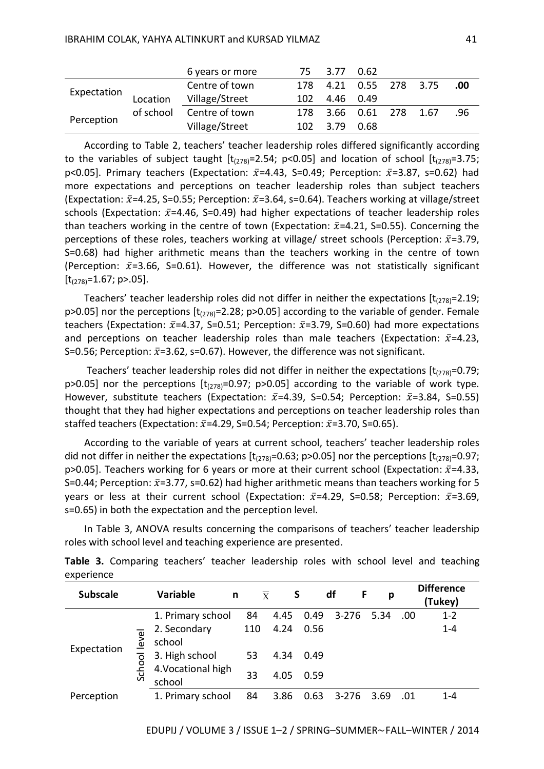|             |           | 6 years or more | 75. | 3.77 0.62             |               |  |     |
|-------------|-----------|-----------------|-----|-----------------------|---------------|--|-----|
|             |           | Centre of town  |     | 178 4.21              | 0.55 278 3.75 |  | .00 |
| Expectation | Location  | Village/Street  | 102 | 4.46 0.49             |               |  |     |
|             | of school | Centre of town  | 178 | 3.66  0.61  278  1.67 |               |  | .96 |
| Perception  |           | Village/Street  | 102 | 3.79                  | 0.68          |  |     |

According to Table 2, teachers' teacher leadership roles differed significantly according to the variables of subject taught  $[t<sub>(278)</sub> = 2.54; p<0.05]$  and location of school  $[t<sub>(278)</sub> = 3.75;$ p<0.05]. Primary teachers (Expectation:  $\bar{x}$ =4.43, S=0.49; Perception:  $\bar{x}$ =3.87, s=0.62) had more expectations and perceptions on teacher leadership roles than subject teachers (Expectation:  $\bar{x}$ =4.25, S=0.55; Perception:  $\bar{x}$ =3.64, s=0.64). Teachers working at village/street schools (Expectation:  $\bar{x}$ =4.46, S=0.49) had higher expectations of teacher leadership roles than teachers working in the centre of town (Expectation:  $\bar{x}$ =4.21, S=0.55). Concerning the perceptions of these roles, teachers working at village/ street schools (Perception:  $\bar{x}$ =3.79, S=0.68) had higher arithmetic means than the teachers working in the centre of town (Perception:  $\bar{x}$ =3.66, S=0.61). However, the difference was not statistically significant  $[t_{(278)}=1.67; p>0.5].$ 

Teachers' teacher leadership roles did not differ in neither the expectations  $[t_{(278)}=2.19;$  $p>0.05$ ] nor the perceptions  $[t<sub>(278)</sub>=2.28; p>0.05]$  according to the variable of gender. Female teachers (Expectation:  $\bar{x}$ =4.37, S=0.51; Perception:  $\bar{x}$ =3.79, S=0.60) had more expectations and perceptions on teacher leadership roles than male teachers (Expectation:  $\bar{x}$ =4.23, S=0.56; Perception:  $\bar{x}$ =3.62, s=0.67). However, the difference was not significant.

Teachers' teacher leadership roles did not differ in neither the expectations  $[t_{(278)}=0.79;$ p>0.05] nor the perceptions  $[t_{(278)}=0.97; p>0.05]$  according to the variable of work type. However, substitute teachers (Expectation:  $\bar{x}$ =4.39, S=0.54; Perception:  $\bar{x}$ =3.84, S=0.55) thought that they had higher expectations and perceptions on teacher leadership roles than staffed teachers (Expectation:  $\bar{x}$ =4.29, S=0.54; Perception:  $\bar{x}$ =3.70, S=0.65).

According to the variable of years at current school, teachers' teacher leadership roles did not differ in neither the expectations  $[t<sub>(278)</sub>=0.63; p>0.05]$  nor the perceptions  $[t<sub>(278)</sub>=0.97;$ p>0.05]. Teachers working for 6 years or more at their current school (Expectation:  $\bar{x}$ =4.33, S=0.44; Perception:  $\bar{x}$ =3.77, s=0.62) had higher arithmetic means than teachers working for 5 years or less at their current school (Expectation:  $\bar{x}$ =4.29, S=0.58; Perception:  $\bar{x}$ =3.69, s=0.65) in both the expectation and the perception level.

In Table 3, ANOVA results concerning the comparisons of teachers' teacher leadership roles with school level and teaching experience are presented.

| <b>Subscale</b> |                               | <b>Variable</b><br>n         | $\overline{\mathbf{x}}$ | S    |      | df        | р     |     | <b>Difference</b><br>(Tukey) |
|-----------------|-------------------------------|------------------------------|-------------------------|------|------|-----------|-------|-----|------------------------------|
|                 |                               | 1. Primary school            | 84                      | 4.45 | 0.49 | $3 - 276$ | -5.34 | .00 | $1 - 2$                      |
|                 | $\overline{\mathtt{\bullet}}$ | 2. Secondary                 | 110                     | 4.24 | 0.56 |           |       |     | $1 - 4$                      |
| Expectation     | $\frac{1}{2}$                 | school                       |                         |      |      |           |       |     |                              |
|                 | ō                             | 3. High school               | 53                      | 4.34 | 0.49 |           |       |     |                              |
|                 | Sch                           | 4. Vocational high<br>school | 33                      | 4.05 | 0.59 |           |       |     |                              |
| Perception      |                               | 1. Primary school            | 84                      | 3.86 | 0.63 | $3 - 276$ | 3.69  | .01 | $1 - 4$                      |

**Table 3.** Comparing teachers' teacher leadership roles with school level and teaching experience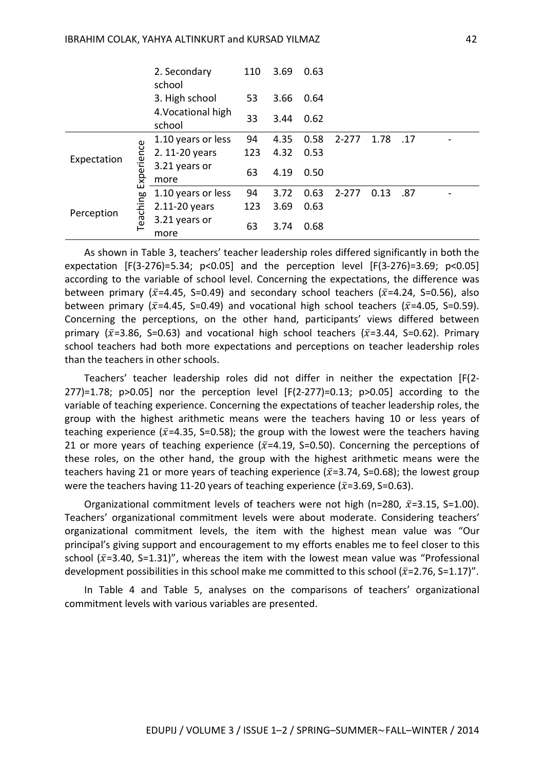|             |            | 2. Secondary<br>school       | 110 | 3.69 | 0.63 |           |      |     |  |
|-------------|------------|------------------------------|-----|------|------|-----------|------|-----|--|
|             |            | 3. High school               | 53  | 3.66 | 0.64 |           |      |     |  |
|             |            | 4. Vocational high<br>school | 33  | 3.44 | 0.62 |           |      |     |  |
|             |            | 1.10 years or less           | 94  | 4.35 | 0.58 | $2 - 277$ | 1.78 | .17 |  |
| Expectation |            | 2. 11-20 years               | 123 | 4.32 | 0.53 |           |      |     |  |
|             | Experience | 3.21 years or<br>more        | 63  | 4.19 | 0.50 |           |      |     |  |
|             |            | 1.10 years or less           | 94  | 3.72 | 0.63 | $2 - 277$ | 0.13 | .87 |  |
| Perception  |            | 2.11-20 years                | 123 | 3.69 | 0.63 |           |      |     |  |
|             | Teaching   | 3.21 years or<br>more        | 63  | 3.74 | 0.68 |           |      |     |  |

As shown in Table 3, teachers' teacher leadership roles differed significantly in both the expectation  $[F(3-276)=5.34; p<0.05]$  and the perception level  $[F(3-276)=3.69; p<0.05]$ according to the variable of school level. Concerning the expectations, the difference was between primary ( $\bar{x}$ =4.45, S=0.49) and secondary school teachers ( $\bar{x}$ =4.24, S=0.56), also between primary ( $\bar{x}$ =4.45, S=0.49) and vocational high school teachers ( $\bar{x}$ =4.05, S=0.59). Concerning the perceptions, on the other hand, participants' views differed between primary ( $\bar{x}$ =3.86, S=0.63) and vocational high school teachers ( $\bar{x}$ =3.44, S=0.62). Primary school teachers had both more expectations and perceptions on teacher leadership roles than the teachers in other schools.

Teachers' teacher leadership roles did not differ in neither the expectation [F(2- 277 $=$ 1.78; p>0.05] nor the perception level  $[F(2-277)=0.13; p>0.05]$  according to the variable of teaching experience. Concerning the expectations of teacher leadership roles, the group with the highest arithmetic means were the teachers having 10 or less years of teaching experience ( $\bar{x}$ =4.35, S=0.58); the group with the lowest were the teachers having 21 or more years of teaching experience ( $\bar{x}$ =4.19, S=0.50). Concerning the perceptions of these roles, on the other hand, the group with the highest arithmetic means were the teachers having 21 or more years of teaching experience ( $\bar{x}$ =3.74, S=0.68); the lowest group were the teachers having 11-20 years of teaching experience ( $\bar{x}$ =3.69, S=0.63).

Organizational commitment levels of teachers were not high (n=280,  $\bar{x}$ =3.15, S=1.00). Teachers' organizational commitment levels were about moderate. Considering teachers' organizational commitment levels, the item with the highest mean value was "Our principal's giving support and encouragement to my efforts enables me to feel closer to this school ( $\bar{x}$ =3.40, S=1.31)", whereas the item with the lowest mean value was "Professional development possibilities in this school make me committed to this school ( $\bar{x}$ =2.76, S=1.17)".

In Table 4 and Table 5, analyses on the comparisons of teachers' organizational commitment levels with various variables are presented.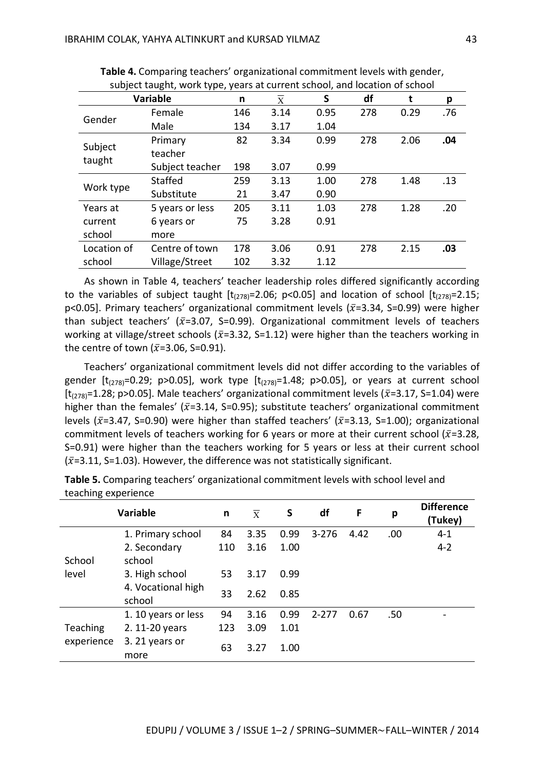|             | subject taught, work type, years at current scribbi, and location or scribbi<br><b>Variable</b> | n   | X    | S    | df  | t    | p   |
|-------------|-------------------------------------------------------------------------------------------------|-----|------|------|-----|------|-----|
|             | Female                                                                                          | 146 | 3.14 | 0.95 | 278 | 0.29 | .76 |
| Gender      | Male                                                                                            | 134 | 3.17 | 1.04 |     |      |     |
|             | Primary                                                                                         | 82  | 3.34 | 0.99 | 278 | 2.06 | .04 |
| Subject     | teacher                                                                                         |     |      |      |     |      |     |
| taught      | Subject teacher                                                                                 | 198 | 3.07 | 0.99 |     |      |     |
| Work type   | Staffed                                                                                         | 259 | 3.13 | 1.00 | 278 | 1.48 | .13 |
|             | Substitute                                                                                      | 21  | 3.47 | 0.90 |     |      |     |
| Years at    | 5 years or less                                                                                 | 205 | 3.11 | 1.03 | 278 | 1.28 | .20 |
| current     | 6 years or                                                                                      | 75  | 3.28 | 0.91 |     |      |     |
| school      | more                                                                                            |     |      |      |     |      |     |
| Location of | Centre of town                                                                                  | 178 | 3.06 | 0.91 | 278 | 2.15 | .03 |
| school      | Village/Street                                                                                  | 102 | 3.32 | 1.12 |     |      |     |

**Table 4.** Comparing teachers' organizational commitment levels with gender, subject taught, work type, years at current school, and location of school

As shown in Table 4, teachers' teacher leadership roles differed significantly according to the variables of subject taught  $[t<sub>(278)</sub> = 2.06; p<0.05]$  and location of school  $[t<sub>(278)</sub> = 2.15;$ p<0.05]. Primary teachers' organizational commitment levels ( $\bar{x}$ =3.34, S=0.99) were higher than subject teachers' ( $\bar{x}$ =3.07, S=0.99). Organizational commitment levels of teachers working at village/street schools ( $\bar{x}$ =3.32, S=1.12) were higher than the teachers working in the centre of town ( $\bar{x}$ =3.06, S=0.91).

Teachers' organizational commitment levels did not differ according to the variables of gender  $[t_{(278)}=0.29; p>0.05]$ , work type  $[t_{(278)}=1.48; p>0.05]$ , or years at current school [ $t_{(278)}$ =1.28; p>0.05]. Male teachers' organizational commitment levels ( $\bar{x}$ =3.17, S=1.04) were higher than the females' ( $\bar{x}$ =3.14, S=0.95); substitute teachers' organizational commitment levels ( $\bar{x}$ =3.47, S=0.90) were higher than staffed teachers' ( $\bar{x}$ =3.13, S=1.00); organizational commitment levels of teachers working for 6 years or more at their current school ( $\bar{x}$ =3.28, S=0.91) were higher than the teachers working for 5 years or less at their current school  $(\bar{x}=3.11, S=1.03)$ . However, the difference was not statistically significant.

|            | <b>Variable</b>              | n   | $\overline{X}$ | S    | df        | F    | p   | <b>Difference</b><br>(Tukey) |
|------------|------------------------------|-----|----------------|------|-----------|------|-----|------------------------------|
|            | 1. Primary school            | 84  | 3.35           | 0.99 | $3 - 276$ | 4.42 | .00 | $4 - 1$                      |
|            | 2. Secondary                 | 110 | 3.16           | 1.00 |           |      |     | $4 - 2$                      |
| School     | school                       |     |                |      |           |      |     |                              |
| level      | 3. High school               | 53  | 3.17           | 0.99 |           |      |     |                              |
|            | 4. Vocational high<br>school | 33  | 2.62           | 0.85 |           |      |     |                              |
|            | 1. 10 years or less          | 94  | 3.16           | 0.99 | $2 - 277$ | 0.67 | .50 |                              |
| Teaching   | 2. 11-20 years               | 123 | 3.09           | 1.01 |           |      |     |                              |
| experience | 3. 21 years or<br>more       | 63  | 3.27           | 1.00 |           |      |     |                              |

**Table 5.** Comparing teachers' organizational commitment levels with school level and teaching experience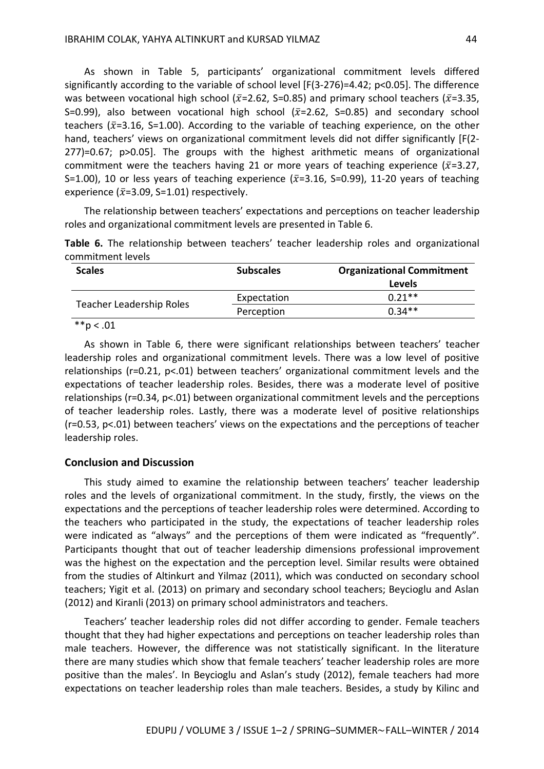As shown in Table 5, participants' organizational commitment levels differed significantly according to the variable of school level [F(3-276)=4.42; p<0.05]. The difference was between vocational high school ( $\bar{x}$ =2.62, S=0.85) and primary school teachers ( $\bar{x}$ =3.35, S=0.99), also between vocational high school  $(\bar{x}=2.62, S=0.85)$  and secondary school teachers ( $\bar{x}$ =3.16, S=1.00). According to the variable of teaching experience, on the other hand, teachers' views on organizational commitment levels did not differ significantly [F(2-277)=0.67; p>0.05]. The groups with the highest arithmetic means of organizational commitment were the teachers having 21 or more years of teaching experience ( $\bar{x}$ =3.27, S=1.00), 10 or less years of teaching experience ( $\bar{x}$ =3.16, S=0.99), 11-20 years of teaching experience ( $\bar{x}$ =3.09, S=1.01) respectively.

The relationship between teachers' expectations and perceptions on teacher leadership roles and organizational commitment levels are presented in Table 6.

**Table 6.** The relationship between teachers' teacher leadership roles and organizational commitment levels

| <b>Scales</b>            | <b>Subscales</b> | <b>Organizational Commitment</b> |
|--------------------------|------------------|----------------------------------|
|                          |                  | <b>Levels</b>                    |
|                          | Expectation      | $0.21**$                         |
| Teacher Leadership Roles | Perception       | $0.34**$                         |
| ماء ماء<br>$\sim$        |                  |                                  |

 $*$  $p < .01$ 

As shown in Table 6, there were significant relationships between teachers' teacher leadership roles and organizational commitment levels. There was a low level of positive relationships (r=0.21, p<.01) between teachers' organizational commitment levels and the expectations of teacher leadership roles. Besides, there was a moderate level of positive relationships (r=0.34, p<.01) between organizational commitment levels and the perceptions of teacher leadership roles. Lastly, there was a moderate level of positive relationships (r=0.53, p<.01) between teachers' views on the expectations and the perceptions of teacher leadership roles.

#### **Conclusion and Discussion**

This study aimed to examine the relationship between teachers' teacher leadership roles and the levels of organizational commitment. In the study, firstly, the views on the expectations and the perceptions of teacher leadership roles were determined. According to the teachers who participated in the study, the expectations of teacher leadership roles were indicated as "always" and the perceptions of them were indicated as "frequently". Participants thought that out of teacher leadership dimensions professional improvement was the highest on the expectation and the perception level. Similar results were obtained from the studies of Altinkurt and Yilmaz (2011), which was conducted on secondary school teachers; Yigit et al. (2013) on primary and secondary school teachers; Beycioglu and Aslan (2012) and Kiranli (2013) on primary school administrators and teachers.

Teachers' teacher leadership roles did not differ according to gender. Female teachers thought that they had higher expectations and perceptions on teacher leadership roles than male teachers. However, the difference was not statistically significant. In the literature there are many studies which show that female teachers' teacher leadership roles are more positive than the males'. In Beycioglu and Aslan's study (2012), female teachers had more expectations on teacher leadership roles than male teachers. Besides, a study by Kilinc and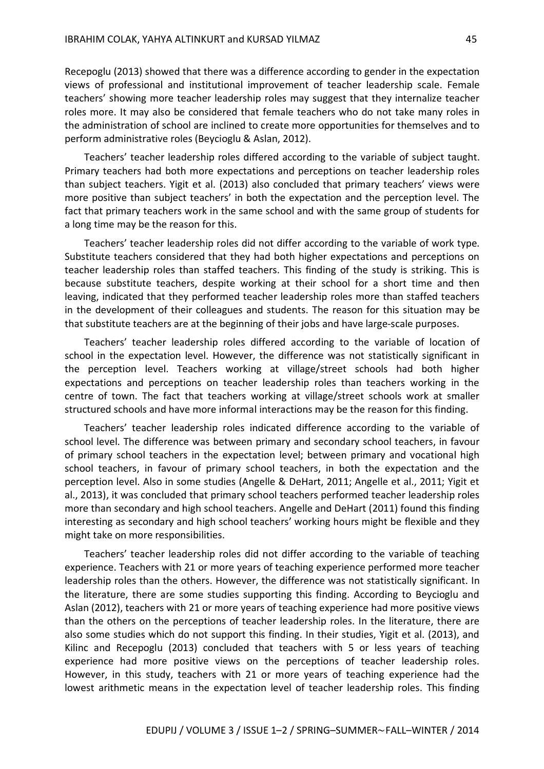Recepoglu (2013) showed that there was a difference according to gender in the expectation views of professional and institutional improvement of teacher leadership scale. Female teachers' showing more teacher leadership roles may suggest that they internalize teacher roles more. It may also be considered that female teachers who do not take many roles in the administration of school are inclined to create more opportunities for themselves and to perform administrative roles (Beycioglu & Aslan, 2012).

Teachers' teacher leadership roles differed according to the variable of subject taught. Primary teachers had both more expectations and perceptions on teacher leadership roles than subject teachers. Yigit et al. (2013) also concluded that primary teachers' views were more positive than subject teachers' in both the expectation and the perception level. The fact that primary teachers work in the same school and with the same group of students for a long time may be the reason for this.

Teachers' teacher leadership roles did not differ according to the variable of work type. Substitute teachers considered that they had both higher expectations and perceptions on teacher leadership roles than staffed teachers. This finding of the study is striking. This is because substitute teachers, despite working at their school for a short time and then leaving, indicated that they performed teacher leadership roles more than staffed teachers in the development of their colleagues and students. The reason for this situation may be that substitute teachers are at the beginning of their jobs and have large-scale purposes.

Teachers' teacher leadership roles differed according to the variable of location of school in the expectation level. However, the difference was not statistically significant in the perception level. Teachers working at village/street schools had both higher expectations and perceptions on teacher leadership roles than teachers working in the centre of town. The fact that teachers working at village/street schools work at smaller structured schools and have more informal interactions may be the reason for this finding.

Teachers' teacher leadership roles indicated difference according to the variable of school level. The difference was between primary and secondary school teachers, in favour of primary school teachers in the expectation level; between primary and vocational high school teachers, in favour of primary school teachers, in both the expectation and the perception level. Also in some studies (Angelle & DeHart, 2011; Angelle et al., 2011; Yigit et al., 2013), it was concluded that primary school teachers performed teacher leadership roles more than secondary and high school teachers. Angelle and DeHart (2011) found this finding interesting as secondary and high school teachers' working hours might be flexible and they might take on more responsibilities.

Teachers' teacher leadership roles did not differ according to the variable of teaching experience. Teachers with 21 or more years of teaching experience performed more teacher leadership roles than the others. However, the difference was not statistically significant. In the literature, there are some studies supporting this finding. According to Beycioglu and Aslan (2012), teachers with 21 or more years of teaching experience had more positive views than the others on the perceptions of teacher leadership roles. In the literature, there are also some studies which do not support this finding. In their studies, Yigit et al. (2013), and Kilinc and Recepoglu (2013) concluded that teachers with 5 or less years of teaching experience had more positive views on the perceptions of teacher leadership roles. However, in this study, teachers with 21 or more years of teaching experience had the lowest arithmetic means in the expectation level of teacher leadership roles. This finding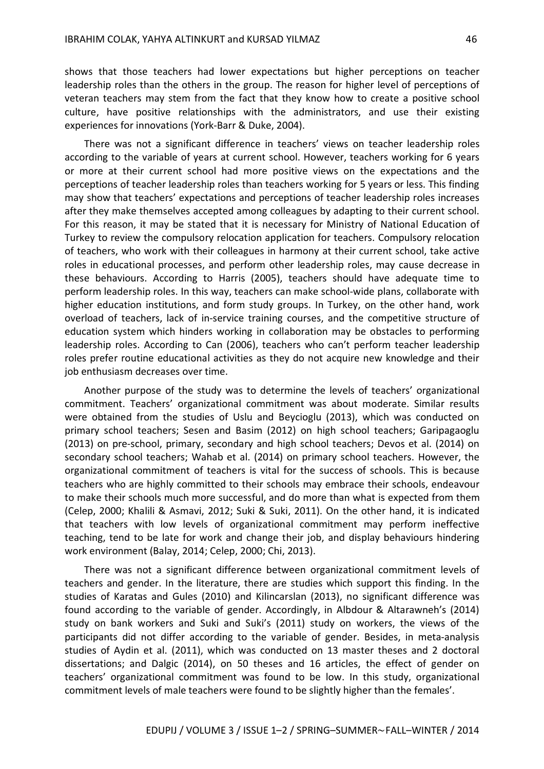shows that those teachers had lower expectations but higher perceptions on teacher leadership roles than the others in the group. The reason for higher level of perceptions of veteran teachers may stem from the fact that they know how to create a positive school culture, have positive relationships with the administrators, and use their existing experiences for innovations (York-Barr & Duke, 2004).

There was not a significant difference in teachers' views on teacher leadership roles according to the variable of years at current school. However, teachers working for 6 years or more at their current school had more positive views on the expectations and the perceptions of teacher leadership roles than teachers working for 5 years or less. This finding may show that teachers' expectations and perceptions of teacher leadership roles increases after they make themselves accepted among colleagues by adapting to their current school. For this reason, it may be stated that it is necessary for Ministry of National Education of Turkey to review the compulsory relocation application for teachers. Compulsory relocation of teachers, who work with their colleagues in harmony at their current school, take active roles in educational processes, and perform other leadership roles, may cause decrease in these behaviours. According to Harris (2005), teachers should have adequate time to perform leadership roles. In this way, teachers can make school-wide plans, collaborate with higher education institutions, and form study groups. In Turkey, on the other hand, work overload of teachers, lack of in-service training courses, and the competitive structure of education system which hinders working in collaboration may be obstacles to performing leadership roles. According to Can (2006), teachers who can't perform teacher leadership roles prefer routine educational activities as they do not acquire new knowledge and their job enthusiasm decreases over time.

Another purpose of the study was to determine the levels of teachers' organizational commitment. Teachers' organizational commitment was about moderate. Similar results were obtained from the studies of Uslu and Beycioglu (2013), which was conducted on primary school teachers; Sesen and Basim (2012) on high school teachers; Garipagaoglu (2013) on pre-school, primary, secondary and high school teachers; Devos et al. (2014) on secondary school teachers; Wahab et al. (2014) on primary school teachers. However, the organizational commitment of teachers is vital for the success of schools. This is because teachers who are highly committed to their schools may embrace their schools, endeavour to make their schools much more successful, and do more than what is expected from them (Celep, 2000; Khalili & Asmavi, 2012; Suki & Suki, 2011). On the other hand, it is indicated that teachers with low levels of organizational commitment may perform ineffective teaching, tend to be late for work and change their job, and display behaviours hindering work environment (Balay, 2014; Celep, 2000; Chi, 2013).

There was not a significant difference between organizational commitment levels of teachers and gender. In the literature, there are studies which support this finding. In the studies of Karatas and Gules (2010) and Kilincarslan (2013), no significant difference was found according to the variable of gender. Accordingly, in Albdour & Altarawneh's (2014) study on bank workers and Suki and Suki's (2011) study on workers, the views of the participants did not differ according to the variable of gender. Besides, in meta-analysis studies of Aydin et al. (2011), which was conducted on 13 master theses and 2 doctoral dissertations; and Dalgic (2014), on 50 theses and 16 articles, the effect of gender on teachers' organizational commitment was found to be low. In this study, organizational commitment levels of male teachers were found to be slightly higher than the females'.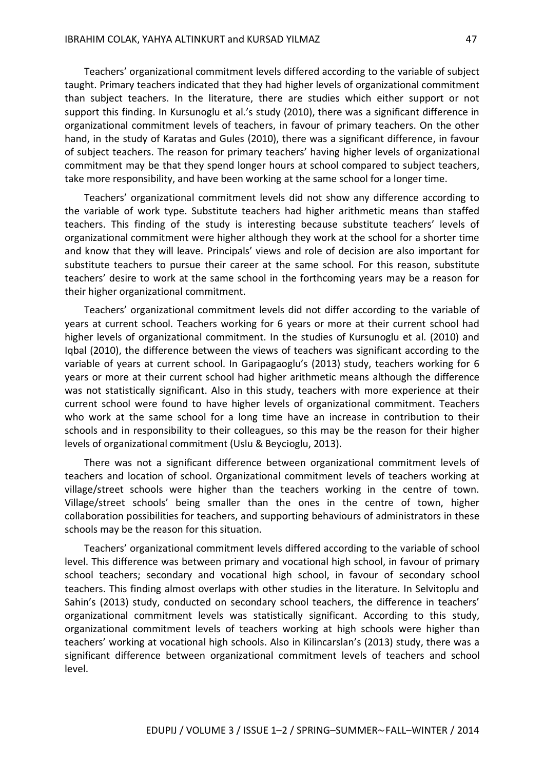Teachers' organizational commitment levels differed according to the variable of subject taught. Primary teachers indicated that they had higher levels of organizational commitment than subject teachers. In the literature, there are studies which either support or not support this finding. In Kursunoglu et al.'s study (2010), there was a significant difference in organizational commitment levels of teachers, in favour of primary teachers. On the other hand, in the study of Karatas and Gules (2010), there was a significant difference, in favour of subject teachers. The reason for primary teachers' having higher levels of organizational commitment may be that they spend longer hours at school compared to subject teachers, take more responsibility, and have been working at the same school for a longer time.

Teachers' organizational commitment levels did not show any difference according to the variable of work type. Substitute teachers had higher arithmetic means than staffed teachers. This finding of the study is interesting because substitute teachers' levels of organizational commitment were higher although they work at the school for a shorter time and know that they will leave. Principals' views and role of decision are also important for substitute teachers to pursue their career at the same school. For this reason, substitute teachers' desire to work at the same school in the forthcoming years may be a reason for their higher organizational commitment.

Teachers' organizational commitment levels did not differ according to the variable of years at current school. Teachers working for 6 years or more at their current school had higher levels of organizational commitment. In the studies of Kursunoglu et al. (2010) and Iqbal (2010), the difference between the views of teachers was significant according to the variable of years at current school. In Garipagaoglu's (2013) study, teachers working for 6 years or more at their current school had higher arithmetic means although the difference was not statistically significant. Also in this study, teachers with more experience at their current school were found to have higher levels of organizational commitment. Teachers who work at the same school for a long time have an increase in contribution to their schools and in responsibility to their colleagues, so this may be the reason for their higher levels of organizational commitment (Uslu & Beycioglu, 2013).

There was not a significant difference between organizational commitment levels of teachers and location of school. Organizational commitment levels of teachers working at village/street schools were higher than the teachers working in the centre of town. Village/street schools' being smaller than the ones in the centre of town, higher collaboration possibilities for teachers, and supporting behaviours of administrators in these schools may be the reason for this situation.

Teachers' organizational commitment levels differed according to the variable of school level. This difference was between primary and vocational high school, in favour of primary school teachers; secondary and vocational high school, in favour of secondary school teachers. This finding almost overlaps with other studies in the literature. In Selvitoplu and Sahin's (2013) study, conducted on secondary school teachers, the difference in teachers' organizational commitment levels was statistically significant. According to this study, organizational commitment levels of teachers working at high schools were higher than teachers' working at vocational high schools. Also in Kilincarslan's (2013) study, there was a significant difference between organizational commitment levels of teachers and school level.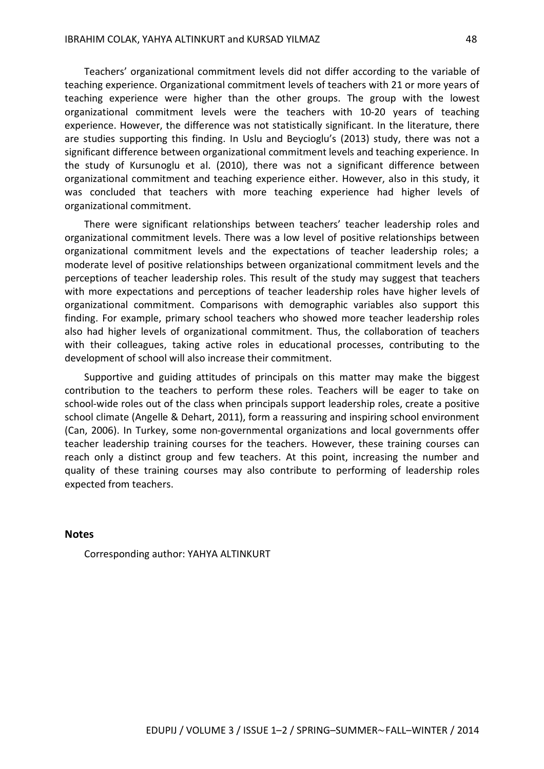Teachers' organizational commitment levels did not differ according to the variable of teaching experience. Organizational commitment levels of teachers with 21 or more years of teaching experience were higher than the other groups. The group with the lowest organizational commitment levels were the teachers with 10-20 years of teaching experience. However, the difference was not statistically significant. In the literature, there are studies supporting this finding. In Uslu and Beycioglu's (2013) study, there was not a significant difference between organizational commitment levels and teaching experience. In the study of Kursunoglu et al. (2010), there was not a significant difference between organizational commitment and teaching experience either. However, also in this study, it was concluded that teachers with more teaching experience had higher levels of organizational commitment.

There were significant relationships between teachers' teacher leadership roles and organizational commitment levels. There was a low level of positive relationships between organizational commitment levels and the expectations of teacher leadership roles; a moderate level of positive relationships between organizational commitment levels and the perceptions of teacher leadership roles. This result of the study may suggest that teachers with more expectations and perceptions of teacher leadership roles have higher levels of organizational commitment. Comparisons with demographic variables also support this finding. For example, primary school teachers who showed more teacher leadership roles also had higher levels of organizational commitment. Thus, the collaboration of teachers with their colleagues, taking active roles in educational processes, contributing to the development of school will also increase their commitment.

Supportive and guiding attitudes of principals on this matter may make the biggest contribution to the teachers to perform these roles. Teachers will be eager to take on school-wide roles out of the class when principals support leadership roles, create a positive school climate (Angelle & Dehart, 2011), form a reassuring and inspiring school environment (Can, 2006). In Turkey, some non-governmental organizations and local governments offer teacher leadership training courses for the teachers. However, these training courses can reach only a distinct group and few teachers. At this point, increasing the number and quality of these training courses may also contribute to performing of leadership roles expected from teachers.

#### **Notes**

Corresponding author: YAHYA ALTINKURT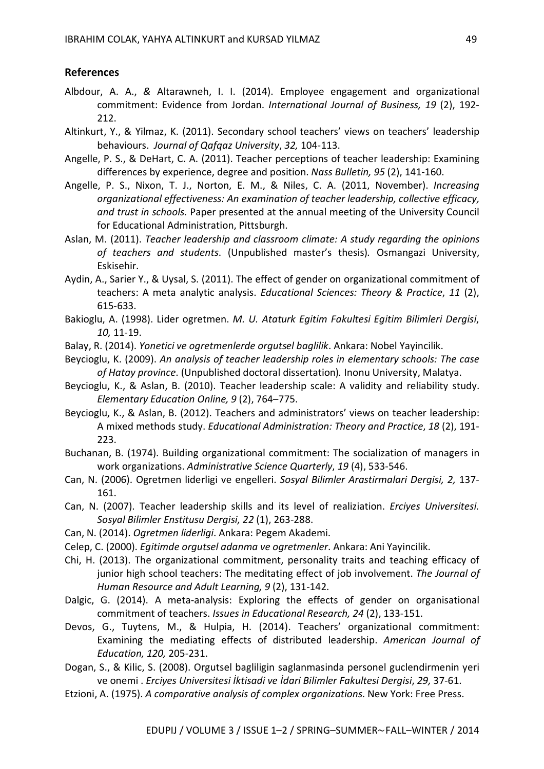#### **References**

- Albdour, A. A., *&* Altarawneh, I. I. (2014). Employee engagement and organizational commitment: Evidence from Jordan. *International Journal of Business, 19* (2), 192- 212.
- Altinkurt, Y., & Yilmaz, K. (2011). Secondary school teachers' views on teachers' leadership behaviours. *Journal of Qafqaz University*, *32,* 104-113.
- Angelle, P. S., & DeHart, C. A. (2011). Teacher perceptions of teacher leadership: Examining differences by experience, degree and position. *Nass Bulletin, 95* (2), 141-160.
- Angelle, P. S., Nixon, T. J., Norton, E. M., & Niles, C. A. (2011, November). *Increasing organizational effectiveness: An examination of teacher leadership, collective efficacy, and trust in schools.* Paper presented at the annual meeting of the University Council for Educational Administration, Pittsburgh.
- Aslan, M. (2011). *Teacher leadership and classroom climate: A study regarding the opinions of teachers and students*. (Unpublished master's thesis)*.* Osmangazi University, Eskisehir.
- Aydin, A., Sarier Y., & Uysal, S. (2011). The effect of gender on organizational commitment of teachers: A meta analytic analysis. *Educational Sciences: Theory & Practice*, *11* (2), 615-633.
- Bakioglu, A. (1998). Lider ogretmen. *M. U. Ataturk Egitim Fakultesi Egitim Bilimleri Dergisi*, *10,* 11-19.
- Balay, R. (2014). *Yonetici ve ogretmenlerde orgutsel baglilik*. Ankara: Nobel Yayincilik.
- Beycioglu, K. (2009). *An analysis of teacher leadership roles in elementary schools: The case of Hatay province*. (Unpublished doctoral dissertation)*.* Inonu University, Malatya.
- Beycioglu, K., & Aslan, B. (2010). Teacher leadership scale: A validity and reliability study. *Elementary Education Online, 9* (2), 764–775.
- Beycioglu, K., & Aslan, B. (2012). Teachers and administrators' views on teacher leadership: A mixed methods study. *Educational Administration: Theory and Practice*, *18* (2), 191- 223.
- Buchanan, B. (1974). Building organizational commitment: The socialization of managers in work organizations. *Administrative Science Quarterly*, *19* (4), 533-546.
- Can, N. (2006). Ogretmen liderligi ve engelleri. *Sosyal Bilimler Arastirmalari Dergisi, 2,* 137- 161.
- Can, N. (2007). Teacher leadership skills and its level of realiziation. *Erciyes Universitesi. Sosyal Bilimler Enstitusu Dergisi, 22* (1), 263-288.
- Can, N. (2014). *Ogretmen liderligi*. Ankara: Pegem Akademi.
- Celep, C. (2000). *Egitimde orgutsel adanma ve ogretmenler*. Ankara: Ani Yayincilik.
- Chi, H. (2013). The organizational commitment, personality traits and teaching efficacy of junior high school teachers: The meditating effect of job involvement. *The Journal of Human Resource and Adult Learning, 9* (2), 131-142.
- Dalgic, G. (2014). A meta-analysis: Exploring the effects of gender on organisational commitment of teachers. *Issues in Educational Research, 24* (2), 133-151.
- Devos, G., Tuytens, M., & Hulpia, H. (2014). Teachers' organizational commitment: Examining the mediating effects of distributed leadership. *American Journal of Education, 120,* 205-231.
- Dogan, S., & Kilic, S. (2008). Orgutsel bagliligin saglanmasinda personel guclendirmenin yeri ve onemi . *Erciyes Universitesi İktisadi ve İdari Bilimler Fakultesi Dergisi*, *29,* 37-61.
- Etzioni, A. (1975). *A comparative analysis of complex organizations*. New York: Free Press.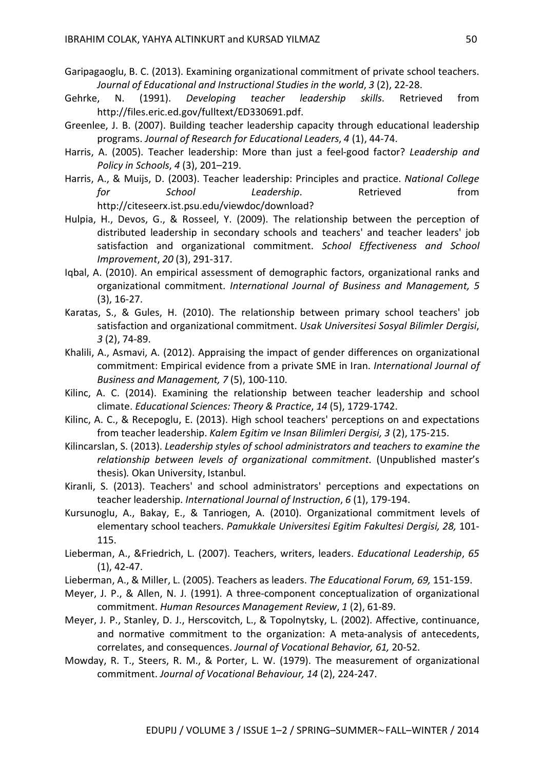- Garipagaoglu, B. C. (2013). Examining organizational commitment of private school teachers. *Journal of Educational and Instructional Studies in the world*, *3* (2), 22-28.
- Gehrke, N. (1991). *Developing teacher leadership skills*. Retrieved from http://files.eric.ed.gov/fulltext/ED330691.pdf.
- Greenlee, J. B. (2007). Building teacher leadership capacity through educational leadership programs. *Journal of Research for Educational Leaders*, *4* (1), 44-74.
- Harris, A. (2005). Teacher leadership: More than just a feel-good factor? *Leadership and Policy in Schools*, *4* (3), 201–219.
- Harris, A., & Muijs, D. (2003). Teacher leadership: Principles and practice. *National College for School Leadership*. Retrieved from http://citeseerx.ist.psu.edu/viewdoc/download?
- Hulpia, H., Devos, G., & Rosseel, Y. (2009). The relationship between the perception of distributed leadership in secondary schools and teachers' and teacher leaders' job satisfaction and organizational commitment. *School Effectiveness and School Improvement*, *20* (3), 291-317.
- Iqbal, A. (2010). An empirical assessment of demographic factors, organizational ranks and organizational commitment. *International Journal of Business and Management, 5* (3), 16-27.
- Karatas, S., & Gules, H. (2010). The relationship between primary school teachers' job satisfaction and organizational commitment. *Usak Universitesi Sosyal Bilimler Dergisi*, *3* (2), 74-89.
- Khalili, A., Asmavi, A. (2012). Appraising the impact of gender differences on organizational commitment: Empirical evidence from a private SME in Iran. *International Journal of Business and Management, 7* (5), 100-110.
- Kilinc, A. C. (2014). Examining the relationship between teacher leadership and school climate. *Educational Sciences: Theory & Practice*, *14* (5), 1729-1742.
- Kilinc, A. C., & Recepoglu, E. (2013). High school teachers' perceptions on and expectations from teacher leadership. *Kalem Egitim ve Insan Bilimleri Dergisi, 3* (2), 175-215.
- Kilincarslan, S. (2013). *Leadership styles of school administrators and teachers to examine the relationship between levels of organizational commitment*. (Unpublished master's thesis)*.* Okan University, Istanbul.
- Kiranli, S. (2013). Teachers' and school administrators' perceptions and expectations on teacher leadership. *International Journal of Instruction*, *6* (1), 179-194.
- Kursunoglu, A., Bakay, E., & Tanriogen, A. (2010). Organizational commitment levels of elementary school teachers. *Pamukkale Universitesi Egitim Fakultesi Dergisi, 28,* 101- 115.
- Lieberman, A., &Friedrich, L. (2007). Teachers, writers, leaders. *Educational Leadership*, *65* (1), 42-47.
- Lieberman, A., & Miller, L. (2005). Teachers as leaders. *The Educational Forum, 69,* 151-159.
- Meyer, J. P., & Allen, N. J. (1991). A three-component conceptualization of organizational commitment. *Human Resources Management Review*, *1* (2), 61-89.
- Meyer, J. P., Stanley, D. J., Herscovitch, L., & Topolnytsky, L. (2002). Affective, continuance, and normative commitment to the organization: A meta-analysis of antecedents, correlates, and consequences. *Journal of Vocational Behavior, 61,* 20-52.
- Mowday, R. T., Steers, R. M., & Porter, L. W. (1979). The measurement of organizational commitment. *Journal of Vocational Behaviour, 14* (2), 224-247.